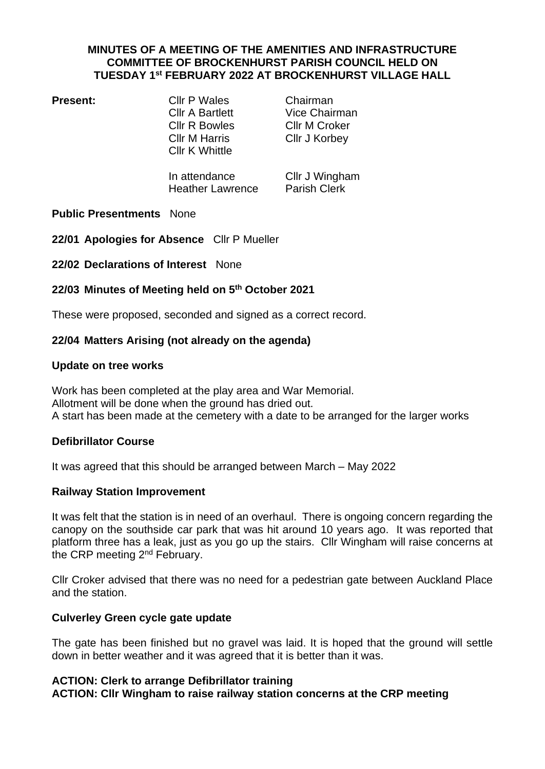## **MINUTES OF A MEETING OF THE AMENITIES AND INFRASTRUCTURE COMMITTEE OF BROCKENHURST PARISH COUNCIL HELD ON TUESDAY 1 st FEBRUARY 2022 AT BROCKENHURST VILLAGE HALL**

**Present:** Cllr P Wales Chairman Cllr R Bowles Cllr M Croker Cllr M Harris Cllr J Korbey Cllr K Whittle

Cllr A Bartlett Vice Chairman

In attendance Cllr J Wingham Heather Lawrence Parish Clerk

## **Public Presentments** None

**22/01 Apologies for Absence** Cllr P Mueller

**22/02 Declarations of Interest** None

# **22/03 Minutes of Meeting held on 5 th October 2021**

These were proposed, seconded and signed as a correct record.

## **22/04 Matters Arising (not already on the agenda)**

#### **Update on tree works**

Work has been completed at the play area and War Memorial. Allotment will be done when the ground has dried out. A start has been made at the cemetery with a date to be arranged for the larger works

## **Defibrillator Course**

It was agreed that this should be arranged between March – May 2022

#### **Railway Station Improvement**

It was felt that the station is in need of an overhaul. There is ongoing concern regarding the canopy on the southside car park that was hit around 10 years ago. It was reported that platform three has a leak, just as you go up the stairs. Cllr Wingham will raise concerns at the CRP meeting 2<sup>nd</sup> February.

Cllr Croker advised that there was no need for a pedestrian gate between Auckland Place and the station.

#### **Culverley Green cycle gate update**

The gate has been finished but no gravel was laid. It is hoped that the ground will settle down in better weather and it was agreed that it is better than it was.

## **ACTION: Clerk to arrange Defibrillator training ACTION: Cllr Wingham to raise railway station concerns at the CRP meeting**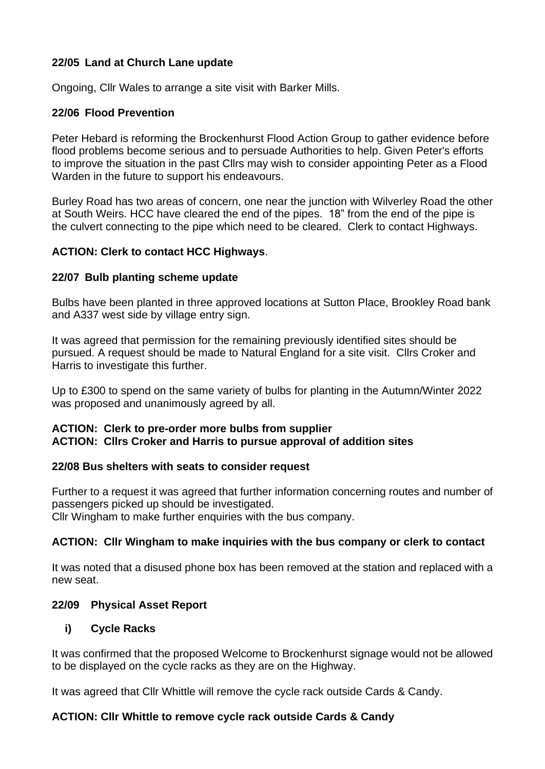# **22/05 Land at Church Lane update**

Ongoing, Cllr Wales to arrange a site visit with Barker Mills.

## **22/06 Flood Prevention**

Peter Hebard is reforming the Brockenhurst Flood Action Group to gather evidence before flood problems become serious and to persuade Authorities to help. Given Peter's efforts to improve the situation in the past Cllrs may wish to consider appointing Peter as a Flood Warden in the future to support his endeavours.

Burley Road has two areas of concern, one near the junction with Wilverley Road the other at South Weirs. HCC have cleared the end of the pipes. 18" from the end of the pipe is the culvert connecting to the pipe which need to be cleared. Clerk to contact Highways.

## **ACTION: Clerk to contact HCC Highways**.

## **22/07 Bulb planting scheme update**

Bulbs have been planted in three approved locations at Sutton Place, Brookley Road bank and A337 west side by village entry sign.

It was agreed that permission for the remaining previously identified sites should be pursued. A request should be made to Natural England for a site visit. Cllrs Croker and Harris to investigate this further.

Up to £300 to spend on the same variety of bulbs for planting in the Autumn/Winter 2022 was proposed and unanimously agreed by all.

## **ACTION: Clerk to pre-order more bulbs from supplier ACTION: Cllrs Croker and Harris to pursue approval of addition sites**

#### **22/08 Bus shelters with seats to consider request**

Further to a request it was agreed that further information concerning routes and number of passengers picked up should be investigated. Cllr Wingham to make further enquiries with the bus company.

## **ACTION: Cllr Wingham to make inquiries with the bus company or clerk to contact**

It was noted that a disused phone box has been removed at the station and replaced with a new seat.

#### **22/09 Physical Asset Report**

## **i) Cycle Racks**

It was confirmed that the proposed Welcome to Brockenhurst signage would not be allowed to be displayed on the cycle racks as they are on the Highway.

It was agreed that Cllr Whittle will remove the cycle rack outside Cards & Candy.

## **ACTION: Cllr Whittle to remove cycle rack outside Cards & Candy**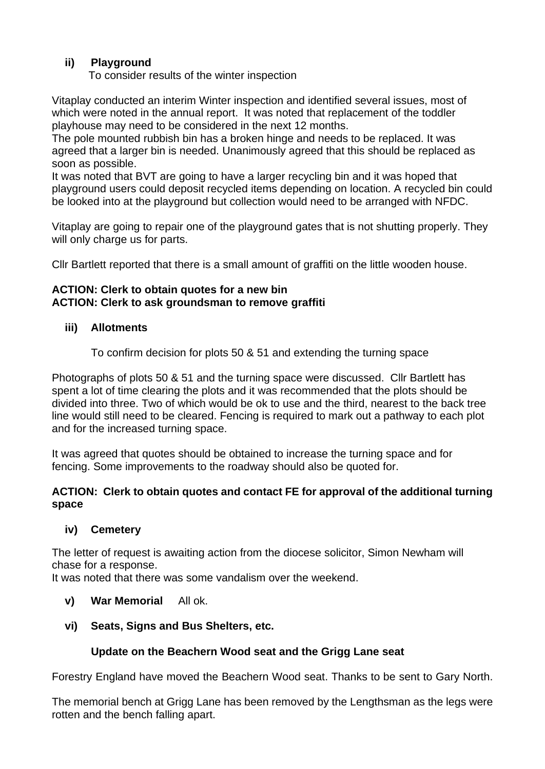# **ii) Playground**

To consider results of the winter inspection

Vitaplay conducted an interim Winter inspection and identified several issues, most of which were noted in the annual report. It was noted that replacement of the toddler playhouse may need to be considered in the next 12 months.

The pole mounted rubbish bin has a broken hinge and needs to be replaced. It was agreed that a larger bin is needed. Unanimously agreed that this should be replaced as soon as possible.

It was noted that BVT are going to have a larger recycling bin and it was hoped that playground users could deposit recycled items depending on location. A recycled bin could be looked into at the playground but collection would need to be arranged with NFDC.

Vitaplay are going to repair one of the playground gates that is not shutting properly. They will only charge us for parts.

Cllr Bartlett reported that there is a small amount of graffiti on the little wooden house.

# **ACTION: Clerk to obtain quotes for a new bin ACTION: Clerk to ask groundsman to remove graffiti**

# **iii) Allotments**

To confirm decision for plots 50 & 51 and extending the turning space

Photographs of plots 50 & 51 and the turning space were discussed. Cllr Bartlett has spent a lot of time clearing the plots and it was recommended that the plots should be divided into three. Two of which would be ok to use and the third, nearest to the back tree line would still need to be cleared. Fencing is required to mark out a pathway to each plot and for the increased turning space.

It was agreed that quotes should be obtained to increase the turning space and for fencing. Some improvements to the roadway should also be quoted for.

# **ACTION: Clerk to obtain quotes and contact FE for approval of the additional turning space**

# **iv) Cemetery**

The letter of request is awaiting action from the diocese solicitor, Simon Newham will chase for a response.

It was noted that there was some vandalism over the weekend.

# **v) War Memorial** All ok.

# **vi) Seats, Signs and Bus Shelters, etc.**

# **Update on the Beachern Wood seat and the Grigg Lane seat**

Forestry England have moved the Beachern Wood seat. Thanks to be sent to Gary North.

The memorial bench at Grigg Lane has been removed by the Lengthsman as the legs were rotten and the bench falling apart.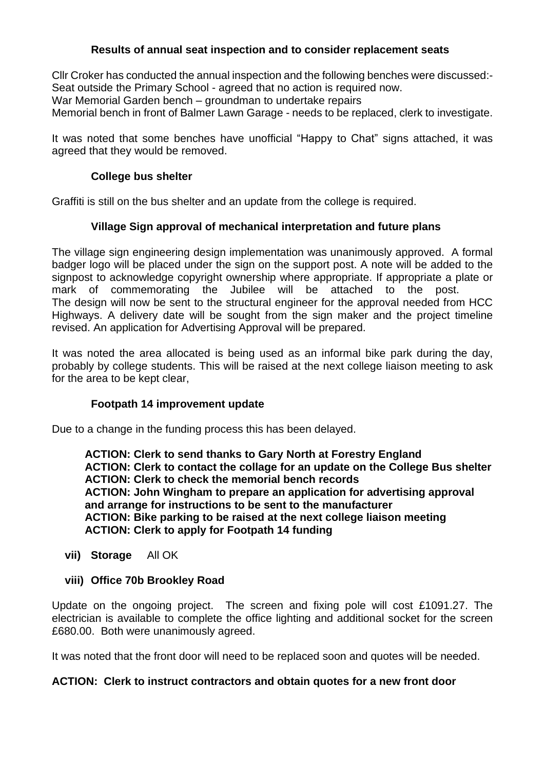# **Results of annual seat inspection and to consider replacement seats**

Cllr Croker has conducted the annual inspection and the following benches were discussed:- Seat outside the Primary School - agreed that no action is required now.

War Memorial Garden bench – groundman to undertake repairs

Memorial bench in front of Balmer Lawn Garage - needs to be replaced, clerk to investigate.

It was noted that some benches have unofficial "Happy to Chat" signs attached, it was agreed that they would be removed.

## **College bus shelter**

Graffiti is still on the bus shelter and an update from the college is required.

## **Village Sign approval of mechanical interpretation and future plans**

The village sign engineering design implementation was unanimously approved. A formal badger logo will be placed under the sign on the support post. A note will be added to the signpost to acknowledge copyright ownership where appropriate. If appropriate a plate or mark of commemorating the Jubilee will be attached to the post. The design will now be sent to the structural engineer for the approval needed from HCC Highways. A delivery date will be sought from the sign maker and the project timeline revised. An application for Advertising Approval will be prepared.

It was noted the area allocated is being used as an informal bike park during the day, probably by college students. This will be raised at the next college liaison meeting to ask for the area to be kept clear,

## **Footpath 14 improvement update**

Due to a change in the funding process this has been delayed.

**ACTION: Clerk to send thanks to Gary North at Forestry England ACTION: Clerk to contact the collage for an update on the College Bus shelter ACTION: Clerk to check the memorial bench records ACTION: John Wingham to prepare an application for advertising approval and arrange for instructions to be sent to the manufacturer ACTION: Bike parking to be raised at the next college liaison meeting ACTION: Clerk to apply for Footpath 14 funding**

**vii) Storage** All OK

## **viii) Office 70b Brookley Road**

Update on the ongoing project. The screen and fixing pole will cost £1091.27. The electrician is available to complete the office lighting and additional socket for the screen £680.00. Both were unanimously agreed.

It was noted that the front door will need to be replaced soon and quotes will be needed.

## **ACTION: Clerk to instruct contractors and obtain quotes for a new front door**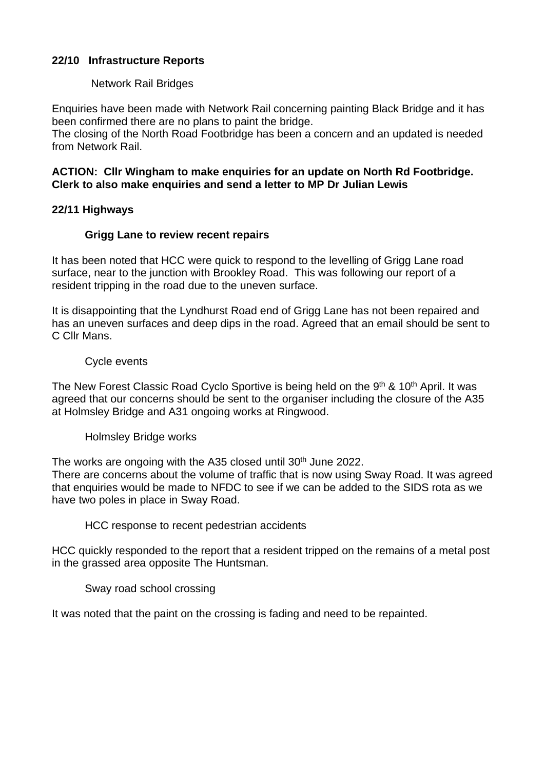# **22/10 Infrastructure Reports**

## Network Rail Bridges

Enquiries have been made with Network Rail concerning painting Black Bridge and it has been confirmed there are no plans to paint the bridge.

The closing of the North Road Footbridge has been a concern and an updated is needed from Network Rail.

## **ACTION: Cllr Wingham to make enquiries for an update on North Rd Footbridge. Clerk to also make enquiries and send a letter to MP Dr Julian Lewis**

## **22/11 Highways**

## **Grigg Lane to review recent repairs**

It has been noted that HCC were quick to respond to the levelling of Grigg Lane road surface, near to the junction with Brookley Road. This was following our report of a resident tripping in the road due to the uneven surface.

It is disappointing that the Lyndhurst Road end of Grigg Lane has not been repaired and has an uneven surfaces and deep dips in the road. Agreed that an email should be sent to C Cllr Mans.

## Cycle events

The New Forest Classic Road Cyclo Sportive is being held on the 9<sup>th</sup> & 10<sup>th</sup> April. It was agreed that our concerns should be sent to the organiser including the closure of the A35 at Holmsley Bridge and A31 ongoing works at Ringwood.

#### Holmsley Bridge works

The works are ongoing with the A35 closed until 30<sup>th</sup> June 2022. There are concerns about the volume of traffic that is now using Sway Road. It was agreed that enquiries would be made to NFDC to see if we can be added to the SIDS rota as we have two poles in place in Sway Road.

HCC response to recent pedestrian accidents

HCC quickly responded to the report that a resident tripped on the remains of a metal post in the grassed area opposite The Huntsman.

Sway road school crossing

It was noted that the paint on the crossing is fading and need to be repainted.